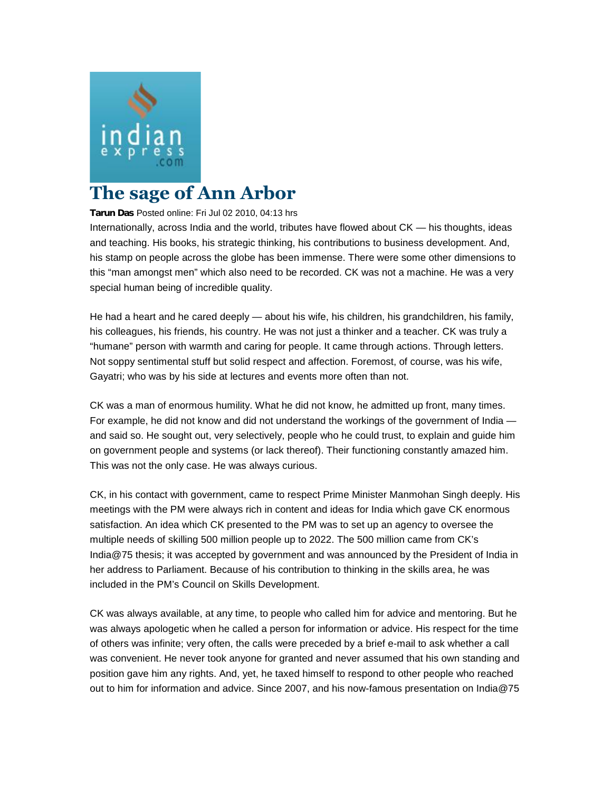

## **The sage of Ann Arbor**

**Tarun Das** Posted online: Fri Jul 02 2010, 04:13 hrs

Internationally, across India and the world, tributes have flowed about CK — his thoughts, ideas and teaching. His books, his strategic thinking, his contributions to business development. And, his stamp on people across the globe has been immense. There were some other dimensions to this "man amongst men" which also need to be recorded. CK was not a machine. He was a very special human being of incredible quality.

He had a heart and he cared deeply — about his wife, his children, his grandchildren, his family, his colleagues, his friends, his country. He was not just a thinker and a teacher. CK was truly a "humane" person with warmth and caring for people. It came through actions. Through letters. Not soppy sentimental stuff but solid respect and affection. Foremost, of course, was his wife, Gayatri; who was by his side at lectures and events more often than not.

CK was a man of enormous humility. What he did not know, he admitted up front, many times. For example, he did not know and did not understand the workings of the government of India and said so. He sought out, very selectively, people who he could trust, to explain and guide him on government people and systems (or lack thereof). Their functioning constantly amazed him. This was not the only case. He was always curious.

CK, in his contact with government, came to respect Prime Minister Manmohan Singh deeply. His meetings with the PM were always rich in content and ideas for India which gave CK enormous satisfaction. An idea which CK presented to the PM was to set up an agency to oversee the multiple needs of skilling 500 million people up to 2022. The 500 million came from CK's India@75 thesis; it was accepted by government and was announced by the President of India in her address to Parliament. Because of his contribution to thinking in the skills area, he was included in the PM's Council on Skills Development.

CK was always available, at any time, to people who called him for advice and mentoring. But he was always apologetic when he called a person for information or advice. His respect for the time of others was infinite; very often, the calls were preceded by a brief e-mail to ask whether a call was convenient. He never took anyone for granted and never assumed that his own standing and position gave him any rights. And, yet, he taxed himself to respond to other people who reached out to him for information and advice. Since 2007, and his now-famous presentation on India@75